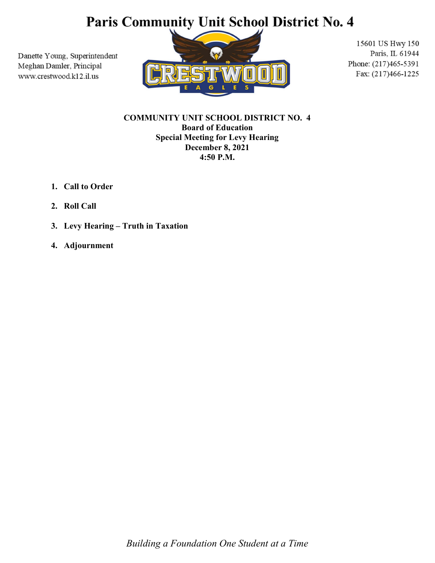## Paris Community Unit School District No. 4

Danette Young, Superintendent Meghan Damler, Principal www.crestwood.k12.il.us



15601 US Hwy 150 Paris, IL 61944 Phone: (217)465-5391 Fax: (217)466-1225

COMMUNITY UNIT SCHOOL DISTRICT NO. 4 Board of Education Special Meeting for Levy Hearing December 8, 2021 4:50 P.M.

- 1. Call to Order
- 2. Roll Call
- 3. Levy Hearing Truth in Taxation
- 4. Adjournment